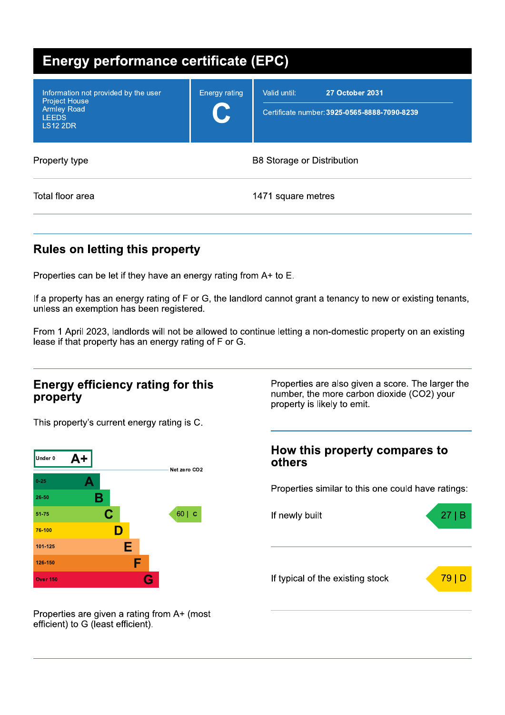| <b>Energy performance certificate (EPC)</b>                                                                           |                    |                                                                                        |  |  |
|-----------------------------------------------------------------------------------------------------------------------|--------------------|----------------------------------------------------------------------------------------|--|--|
| Information not provided by the user<br><b>Project House</b><br><b>Armley Road</b><br><b>LEEDS</b><br><b>LS12 2DR</b> | Energy rating<br>U | <b>27 October 2031</b><br>Valid until:<br>Certificate number: 3925-0565-8888-7090-8239 |  |  |
| Property type                                                                                                         |                    | <b>B8 Storage or Distribution</b>                                                      |  |  |
| Total floor area                                                                                                      |                    | 1471 square metres                                                                     |  |  |

## **Rules on letting this property**

Properties can be let if they have an energy rating from A+ to E.

If a property has an energy rating of F or G, the landlord cannot grant a tenancy to new or existing tenants, unless an exemption has been registered.

From 1 April 2023, landlords will not be allowed to continue letting a non-domestic property on an existing lease if that property has an energy rating of F or G.

### **Energy efficiency rating for this** property

This property's current energy rating is C.



number, the more carbon dioxide (CO2) your property is likely to emit.

Properties are also given a score. The larger the

### How this property compares to others

Properties similar to this one could have ratings:



Properties are given a rating from A+ (most efficient) to G (least efficient).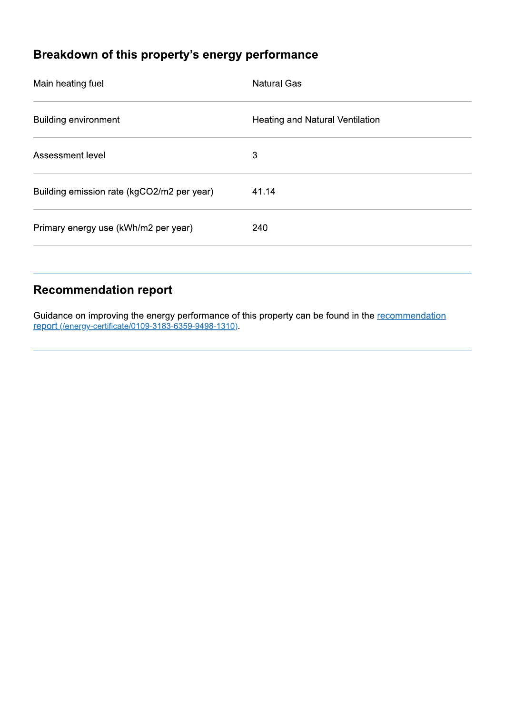# Breakdown of this property's energy performance

| Main heating fuel                          | <b>Natural Gas</b>              |
|--------------------------------------------|---------------------------------|
| <b>Building environment</b>                | Heating and Natural Ventilation |
| Assessment level                           | 3                               |
| Building emission rate (kgCO2/m2 per year) | 41.14                           |
| Primary energy use (kWh/m2 per year)       | 240                             |
|                                            |                                 |

## **Recommendation report**

Guidance on improving the energy performance of this property can be found in the recommendation report (/energy-certificate/0109-3183-6359-9498-1310).